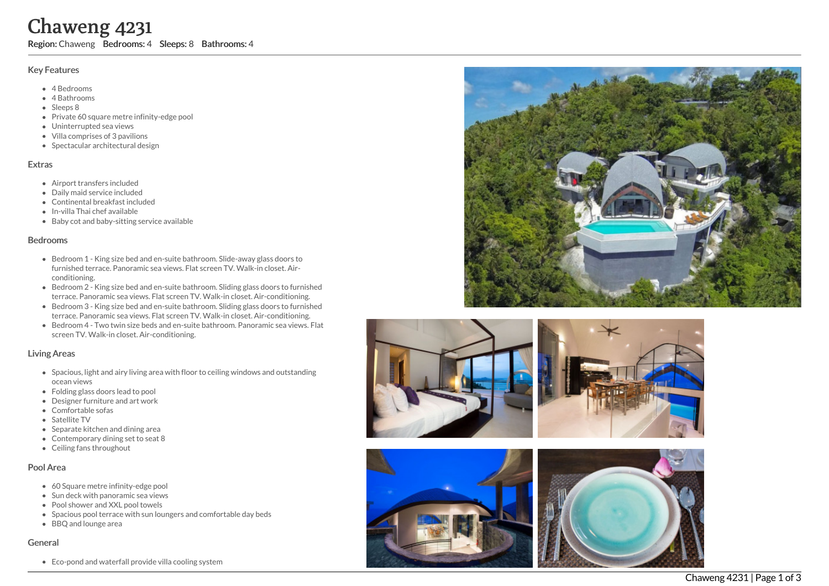# Chaweng 4231

Region: Chaweng Bedrooms: 4 Sleeps: 8 Bathrooms: 4

## Key Features

- 4 B e d r o o m s
- 4 Bathrooms
- Sleeps 8
- Private 60 square metre infinity-edge pool
- Uninterrupted sea views
- Villa comprises of 3 pavilions
- Spectacular architectural design

#### **Extras**

- Airport transfers included
- Daily maid service included
- Continental breakfast included
- In-villa Thai chef available
- Baby cot and baby-sitting service available

#### **Bedrooms**

- Bedroom 1 King size bed and en-suite bathroom. Slide-away glass doors to furnished terrace. Panoramic sea views. Flat screen TV. Walk-in closet. Airc o n ditio nin g.
- Bedroom 2 King size bed and en-suite bathroom. Sliding glass doors to furnished terrace. Panoramic sea views. Flat screen TV. Walk-in closet. Air-conditioning.
- Bedroom 3 King size bed and en-suite bathroom. Sliding glass doors to furnis h e d terrace. Panoramic sea views. Flat screen TV. Walk-in closet. Air-conditioning.
- Bedroom 4 Two twin size beds and en-suite bathroom. Panoramic sea views. Fla t screen TV. Walk-in closet. Air-conditioning.

## Living Areas

- Spacious, light and airy living area with floor to ceiling windows and outstanding o c e a n vie w s
- Folding glass doors lead to pool
- Designer furniture and art work
- Comfortable sofas
- Satellite TV
- Separate kitchen and dining area
- Contemporary dining set to seat 8
- Ceiling fans throughout

## Pool Area

- 60 Square metre infinity-edge pool
- Sun deck with panoramic sea views
- Pool shower and XXL pool towels
- Spacious pool terrace with sun loungers and comfortable day beds
- BBQ and lounge area

## General

Eco-pond and waterfall provide villa cooling system







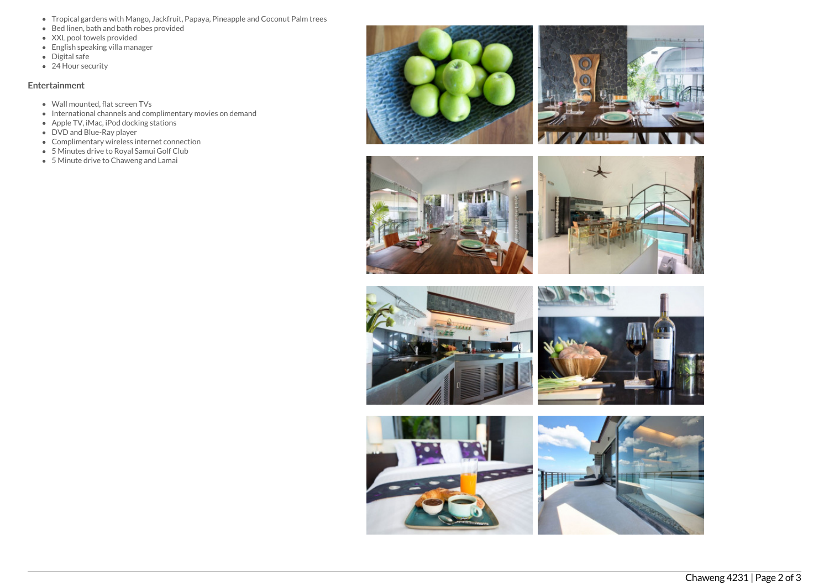- Tropical gardens with Mango, Jackfruit, Papaya, Pineapple and Coconut Palm trees
- Bed linen, bath and bath robes provided
- XXL pool towels provided
- English speaking villa manager
- Digital safe
- 24 Hour security

## Entertainment

- Wall mounted, flat screen TVs
- $\bullet$  International channels and complimentary movies on demand
- Apple TV, iMac, iPod docking stations
- DVD and Blue-Ray player
- Complimentary wireless internet connection
- 5 Minutes drive to Royal Samui Golf Club
- 5 Minute drive to Chaweng and Lamai